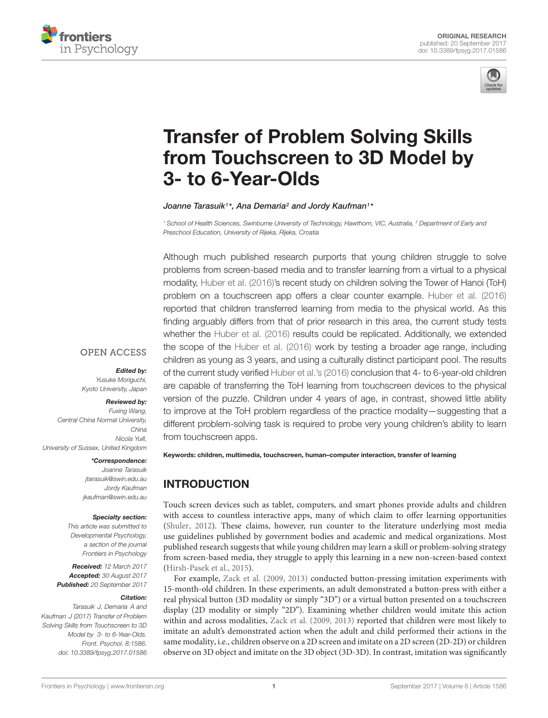



# Transfer of Problem Solving Skills [from Touchscreen to 3D Model by](http://journal.frontiersin.org/article/10.3389/fpsyg.2017.01586/abstract) 3- to 6-Year-Olds

[Joanne Tarasuik](http://loop.frontiersin.org/people/74085/overview)<sup>1</sup> \*, [Ana Demaria](http://loop.frontiersin.org/people/422649/overview)<sup>2</sup> and [Jordy Kaufman](http://loop.frontiersin.org/people/15274/overview)<sup>1</sup> \*

<sup>1</sup> School of Health Sciences, Swinburne University of Technology, Hawthorn, VIC, Australia, <sup>2</sup> Department of Early and Preschool Education, University of Rijeka, Rijeka, Croatia

Although much published research purports that young children struggle to solve problems from screen-based media and to transfer learning from a virtual to a physical modality, [Huber et al.](#page-5-0) [\(2016\)](#page-5-0)'s recent study on children solving the Tower of Hanoi (ToH) problem on a touchscreen app offers a clear counter example. [Huber et al.](#page-5-0) [\(2016\)](#page-5-0) reported that children transferred learning from media to the physical world. As this finding arguably differs from that of prior research in this area, the current study tests whether the [Huber et al.](#page-5-0) [\(2016\)](#page-5-0) results could be replicated. Additionally, we extended the scope of the [Huber et al.](#page-5-0) [\(2016\)](#page-5-0) work by testing a broader age range, including children as young as 3 years, and using a culturally distinct participant pool. The results of the current study verified [Huber et al.'](#page-5-0)s [\(2016\)](#page-5-0) conclusion that 4- to 6-year-old children are capable of transferring the ToH learning from touchscreen devices to the physical version of the puzzle. Children under 4 years of age, in contrast, showed little ability to improve at the ToH problem regardless of the practice modality—suggesting that a different problem-solving task is required to probe very young children's ability to learn from touchscreen apps.

#### **OPEN ACCESS**

#### Edited by:

Yusuke Moriguchi, Kyoto University, Japan

#### Reviewed by:

Fuxing Wang, Central China Normal University, China Nicola Yuill, University of Sussex, United Kingdom

#### \*Correspondence:

Joanne Tarasuik jtarasuik@swin.edu.au Jordy Kaufman jkaufman@swin.edu.au

#### Specialty section:

This article was submitted to Developmental Psychology, a section of the journal Frontiers in Psychology

Received: 12 March 2017 Accepted: 30 August 2017 Published: 20 September 2017

#### Citation:

Tarasuik J, Demaria A and Kaufman J (2017) Transfer of Problem Solving Skills from Touchscreen to 3D Model by 3- to 6-Year-Olds. Front. Psychol. 8:1586. doi: [10.3389/fpsyg.2017.01586](https://doi.org/10.3389/fpsyg.2017.01586) Keywords: children, multimedia, touchscreen, human–computer interaction, transfer of learning

# INTRODUCTION

Touch screen devices such as tablet, computers, and smart phones provide adults and children with access to countless interactive apps, many of which claim to offer learning opportunities [\(Shuler,](#page-5-1) [2012\)](#page-5-1). These claims, however, run counter to the literature underlying most media use guidelines published by government bodies and academic and medical organizations. Most published research suggests that while young children may learn a skill or problem-solving strategy from screen-based media, they struggle to apply this learning in a new non-screen-based context [\(Hirsh-Pasek et al.,](#page-5-2) [2015\)](#page-5-2).

For example, [Zack et al.](#page-5-3) [\(2009,](#page-5-3) [2013\)](#page-5-4) conducted button-pressing imitation experiments with 15-month-old children. In these experiments, an adult demonstrated a button-press with either a real physical button (3D modality or simply "3D") or a virtual button presented on a touchscreen display (2D modality or simply "2D"). Examining whether children would imitate this action within and across modalities, [Zack et al.](#page-5-3) [\(2009,](#page-5-3) [2013\)](#page-5-4) reported that children were most likely to imitate an adult's demonstrated action when the adult and child performed their actions in the same modality, i.e., children observe on a 2D screen and imitate on a 2D screen (2D-2D) or children observe on 3D object and imitate on the 3D object (3D-3D). In contrast, imitation was significantly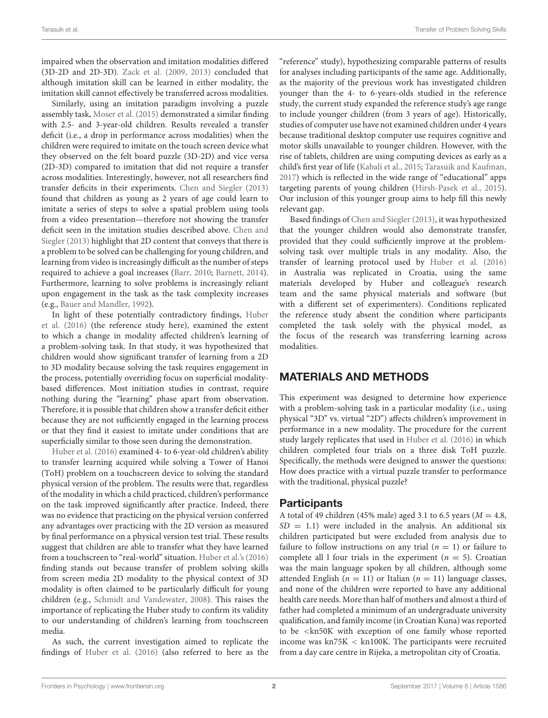impaired when the observation and imitation modalities differed (3D-2D and 2D-3D). [Zack et al.](#page-5-3) [\(2009,](#page-5-3) [2013\)](#page-5-4) concluded that although imitation skill can be learned in either modality, the imitation skill cannot effectively be transferred across modalities.

Similarly, using an imitation paradigm involving a puzzle assembly task, [Moser et al.](#page-5-5) [\(2015\)](#page-5-5) demonstrated a similar finding with 2.5- and 3-year-old children. Results revealed a transfer deficit (i.e., a drop in performance across modalities) when the children were required to imitate on the touch screen device what they observed on the felt board puzzle (3D-2D) and vice versa (2D-3D) compared to imitation that did not require a transfer across modalities. Interestingly, however, not all researchers find transfer deficits in their experiments. [Chen and Siegler](#page-5-6) [\(2013\)](#page-5-6) found that children as young as 2 years of age could learn to imitate a series of steps to solve a spatial problem using tools from a video presentation—therefore not showing the transfer deficit seen in the imitation studies described above. [Chen and](#page-5-6) [Siegler](#page-5-6) [\(2013\)](#page-5-6) highlight that 2D content that conveys that there is a problem to be solved can be challenging for young children, and learning from video is increasingly difficult as the number of steps required to achieve a goal increases [\(Barr,](#page-5-7) [2010;](#page-5-7) [Barnett,](#page-5-8) [2014\)](#page-5-8). Furthermore, learning to solve problems is increasingly reliant upon engagement in the task as the task complexity increases (e.g., [Bauer and Mandler,](#page-5-9) [1992\)](#page-5-9).

In light of these potentially contradictory findings, [Huber](#page-5-0) [et al.](#page-5-0) [\(2016\)](#page-5-0) (the reference study here), examined the extent to which a change in modality affected children's learning of a problem-solving task. In that study, it was hypothesized that children would show significant transfer of learning from a 2D to 3D modality because solving the task requires engagement in the process, potentially overriding focus on superficial modalitybased differences. Most initiation studies in contrast, require nothing during the "learning" phase apart from observation. Therefore, it is possible that children show a transfer deficit either because they are not sufficiently engaged in the learning process or that they find it easiest to imitate under conditions that are superficially similar to those seen during the demonstration.

[Huber et al.](#page-5-0) [\(2016\)](#page-5-0) examined 4- to 6-year-old children's ability to transfer learning acquired while solving a Tower of Hanoi (ToH) problem on a touchscreen device to solving the standard physical version of the problem. The results were that, regardless of the modality in which a child practiced, children's performance on the task improved significantly after practice. Indeed, there was no evidence that practicing on the physical version conferred any advantages over practicing with the 2D version as measured by final performance on a physical version test trial. These results suggest that children are able to transfer what they have learned from a touchscreen to "real-world" situation. [Huber et al.'](#page-5-0)s [\(2016\)](#page-5-0) finding stands out because transfer of problem solving skills from screen media 2D modality to the physical context of 3D modality is often claimed to be particularly difficult for young children (e.g., [Schmidt and Vandewater,](#page-5-10) [2008\)](#page-5-10). This raises the importance of replicating the Huber study to confirm its validity to our understanding of children's learning from touchscreen media.

As such, the current investigation aimed to replicate the findings of [Huber et al.](#page-5-0) [\(2016\)](#page-5-0) (also referred to here as the "reference" study), hypothesizing comparable patterns of results for analyses including participants of the same age. Additionally, as the majority of the previous work has investigated children younger than the 4- to 6-years-olds studied in the reference study, the current study expanded the reference study's age range to include younger children (from 3 years of age). Historically, studies of computer use have not examined children under 4 years because traditional desktop computer use requires cognitive and motor skills unavailable to younger children. However, with the rise of tablets, children are using computing devices as early as a child's first year of life [\(Kabali et al.,](#page-5-11) [2015;](#page-5-11) [Tarasuik and Kaufman,](#page-5-12) [2017\)](#page-5-12) which is reflected in the wide range of "educational" apps targeting parents of young children [\(Hirsh-Pasek et al.,](#page-5-2) [2015\)](#page-5-2). Our inclusion of this younger group aims to help fill this newly relevant gap.

Based findings of [Chen and Siegler](#page-5-6) [\(2013\)](#page-5-6), it was hypothesized that the younger children would also demonstrate transfer, provided that they could sufficiently improve at the problemsolving task over multiple trials in any modality. Also, the transfer of learning protocol used by [Huber et al.](#page-5-0) [\(2016\)](#page-5-0) in Australia was replicated in Croatia, using the same materials developed by Huber and colleague's research team and the same physical materials and software (but with a different set of experimenters). Conditions replicated the reference study absent the condition where participants completed the task solely with the physical model, as the focus of the research was transferring learning across modalities.

# MATERIALS AND METHODS

This experiment was designed to determine how experience with a problem-solving task in a particular modality (i.e., using physical "3D" vs. virtual "2D") affects children's improvement in performance in a new modality. The procedure for the current study largely replicates that used in [Huber et al.](#page-5-0) [\(2016\)](#page-5-0) in which children completed four trials on a three disk ToH puzzle. Specifically, the methods were designed to answer the questions: How does practice with a virtual puzzle transfer to performance with the traditional, physical puzzle?

## **Participants**

A total of 49 children (45% male) aged 3.1 to 6.5 years ( $M = 4.8$ ,  $SD = 1.1$ ) were included in the analysis. An additional six children participated but were excluded from analysis due to failure to follow instructions on any trial  $(n = 1)$  or failure to complete all 1 four trials in the experiment ( $n = 5$ ). Croatian was the main language spoken by all children, although some attended English ( $n = 11$ ) or Italian ( $n = 11$ ) language classes, and none of the children were reported to have any additional health care needs. More than half of mothers and almost a third of father had completed a minimum of an undergraduate university qualification, and family income (in Croatian Kuna) was reported to be <kn50K with exception of one family whose reported income was kn75K < kn100K. The participants were recruited from a day care centre in Rijeka, a metropolitan city of Croatia.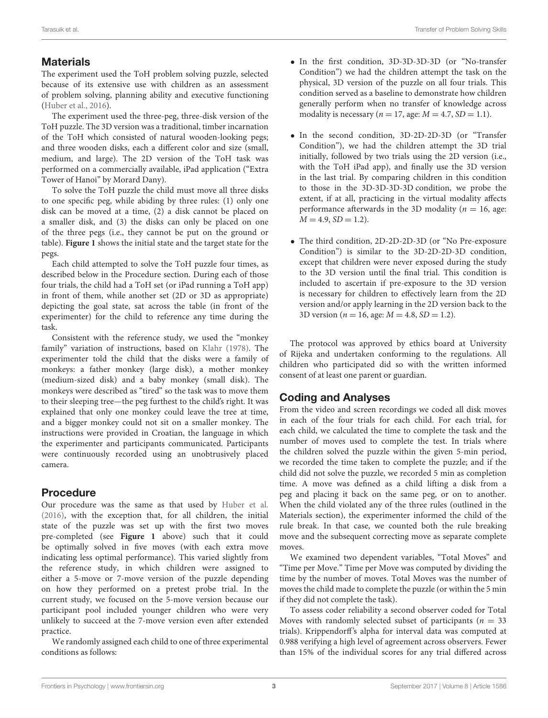# **Materials**

The experiment used the ToH problem solving puzzle, selected because of its extensive use with children as an assessment of problem solving, planning ability and executive functioning [\(Huber et al.,](#page-5-0) [2016\)](#page-5-0).

The experiment used the three-peg, three-disk version of the ToH puzzle. The 3D version was a traditional, timber incarnation of the ToH which consisted of natural wooden-looking pegs; and three wooden disks, each a different color and size (small, medium, and large). The 2D version of the ToH task was performed on a commercially available, iPad application ("Extra Tower of Hanoi" by Morard Dany).

To solve the ToH puzzle the child must move all three disks to one specific peg, while abiding by three rules: (1) only one disk can be moved at a time, (2) a disk cannot be placed on a smaller disk, and (3) the disks can only be placed on one of the three pegs (i.e., they cannot be put on the ground or table). **[Figure 1](#page-3-0)** shows the initial state and the target state for the pegs.

Each child attempted to solve the ToH puzzle four times, as described below in the Procedure section. During each of those four trials, the child had a ToH set (or iPad running a ToH app) in front of them, while another set (2D or 3D as appropriate) depicting the goal state, sat across the table (in front of the experimenter) for the child to reference any time during the task.

Consistent with the reference study, we used the "monkey family" variation of instructions, based on [Klahr](#page-5-13) [\(1978\)](#page-5-13). The experimenter told the child that the disks were a family of monkeys: a father monkey (large disk), a mother monkey (medium-sized disk) and a baby monkey (small disk). The monkeys were described as "tired" so the task was to move them to their sleeping tree—the peg furthest to the child's right. It was explained that only one monkey could leave the tree at time, and a bigger monkey could not sit on a smaller monkey. The instructions were provided in Croatian, the language in which the experimenter and participants communicated. Participants were continuously recorded using an unobtrusively placed camera.

# Procedure

Our procedure was the same as that used by [Huber et al.](#page-5-0) [\(2016\)](#page-5-0), with the exception that, for all children, the initial state of the puzzle was set up with the first two moves pre-completed (see **[Figure 1](#page-3-0)** above) such that it could be optimally solved in five moves (with each extra move indicating less optimal performance). This varied slightly from the reference study, in which children were assigned to either a 5-move or 7-move version of the puzzle depending on how they performed on a pretest probe trial. In the current study, we focused on the 5-move version because our participant pool included younger children who were very unlikely to succeed at the 7-move version even after extended practice.

We randomly assigned each child to one of three experimental conditions as follows:

- In the first condition, 3D-3D-3D-3D (or "No-transfer Condition") we had the children attempt the task on the physical, 3D version of the puzzle on all four trials. This condition served as a baseline to demonstrate how children generally perform when no transfer of knowledge across modality is necessary ( $n = 17$ , age:  $M = 4.7$ ,  $SD = 1.1$ ).
- In the second condition, 3D-2D-2D-3D (or "Transfer Condition"), we had the children attempt the 3D trial initially, followed by two trials using the 2D version (i.e., with the ToH iPad app), and finally use the 3D version in the last trial. By comparing children in this condition to those in the 3D-3D-3D-3D condition, we probe the extent, if at all, practicing in the virtual modality affects performance afterwards in the 3D modality ( $n = 16$ , age:  $M = 4.9, SD = 1.2$ .
- The third condition, 2D-2D-2D-3D (or "No Pre-exposure Condition") is similar to the 3D-2D-2D-3D condition, except that children were never exposed during the study to the 3D version until the final trial. This condition is included to ascertain if pre-exposure to the 3D version is necessary for children to effectively learn from the 2D version and/or apply learning in the 2D version back to the 3D version ( $n = 16$ , age:  $M = 4.8$ ,  $SD = 1.2$ ).

The protocol was approved by ethics board at University of Rijeka and undertaken conforming to the regulations. All children who participated did so with the written informed consent of at least one parent or guardian.

# Coding and Analyses

From the video and screen recordings we coded all disk moves in each of the four trials for each child. For each trial, for each child, we calculated the time to complete the task and the number of moves used to complete the test. In trials where the children solved the puzzle within the given 5-min period, we recorded the time taken to complete the puzzle; and if the child did not solve the puzzle, we recorded 5 min as completion time. A move was defined as a child lifting a disk from a peg and placing it back on the same peg, or on to another. When the child violated any of the three rules (outlined in the Materials section), the experimenter informed the child of the rule break. In that case, we counted both the rule breaking move and the subsequent correcting move as separate complete moves.

We examined two dependent variables, "Total Moves" and "Time per Move." Time per Move was computed by dividing the time by the number of moves. Total Moves was the number of moves the child made to complete the puzzle (or within the 5 min if they did not complete the task).

To assess coder reliability a second observer coded for Total Moves with randomly selected subset of participants ( $n = 33$ ) trials). Krippendorff's alpha for interval data was computed at 0.988 verifying a high level of agreement across observers. Fewer than 15% of the individual scores for any trial differed across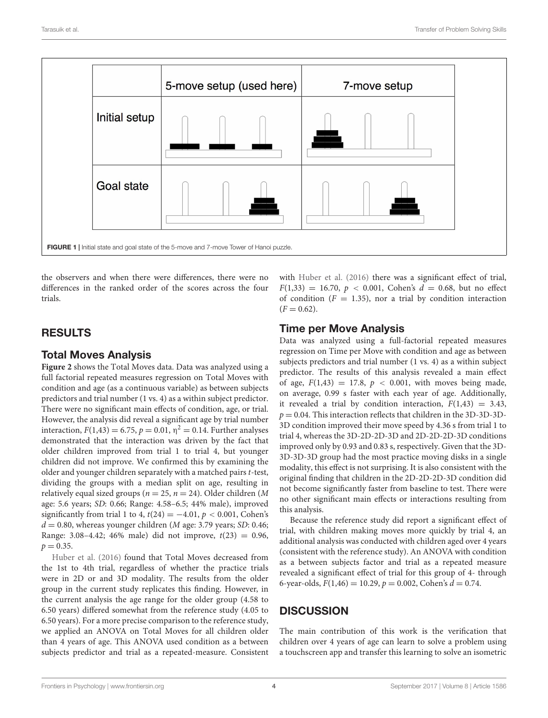

<span id="page-3-0"></span>the observers and when there were differences, there were no differences in the ranked order of the scores across the four trials.

## RESULTS

#### Total Moves Analysis

**[Figure 2](#page-4-0)** shows the Total Moves data. Data was analyzed using a full factorial repeated measures regression on Total Moves with condition and age (as a continuous variable) as between subjects predictors and trial number (1 vs. 4) as a within subject predictor. There were no significant main effects of condition, age, or trial. However, the analysis did reveal a significant age by trial number interaction,  $F(1,43) = 6.75$ ,  $p = 0.01$ ,  $\eta^2 = 0.14$ . Further analyses demonstrated that the interaction was driven by the fact that older children improved from trial 1 to trial 4, but younger children did not improve. We confirmed this by examining the older and younger children separately with a matched pairs t-test, dividing the groups with a median split on age, resulting in relatively equal sized groups ( $n = 25$ ,  $n = 24$ ). Older children (M age: 5.6 years; SD: 0.66; Range: 4.58–6.5; 44% male), improved significantly from trial 1 to 4,  $t(24) = -4.01$ ,  $p < 0.001$ , Cohen's  $d = 0.80$ , whereas younger children (*M* age: 3.79 years; *SD*: 0.46; Range: 3.08–4.42; 46% male) did not improve,  $t(23) = 0.96$ ,  $p = 0.35$ .

[Huber et al.](#page-5-0) [\(2016\)](#page-5-0) found that Total Moves decreased from the 1st to 4th trial, regardless of whether the practice trials were in 2D or and 3D modality. The results from the older group in the current study replicates this finding. However, in the current analysis the age range for the older group (4.58 to 6.50 years) differed somewhat from the reference study (4.05 to 6.50 years). For a more precise comparison to the reference study, we applied an ANOVA on Total Moves for all children older than 4 years of age. This ANOVA used condition as a between subjects predictor and trial as a repeated-measure. Consistent

with [Huber et al.](#page-5-0) [\(2016\)](#page-5-0) there was a significant effect of trial,  $F(1,33) = 16.70, p < 0.001$ , Cohen's  $d = 0.68$ , but no effect of condition ( $F = 1.35$ ), nor a trial by condition interaction  $(F = 0.62)$ .

## Time per Move Analysis

Data was analyzed using a full-factorial repeated measures regression on Time per Move with condition and age as between subjects predictors and trial number (1 vs. 4) as a within subject predictor. The results of this analysis revealed a main effect of age,  $F(1,43) = 17.8$ ,  $p < 0.001$ , with moves being made, on average, 0.99 s faster with each year of age. Additionally, it revealed a trial by condition interaction,  $F(1,43) = 3.43$ ,  $p = 0.04$ . This interaction reflects that children in the 3D-3D-3D-3D condition improved their move speed by 4.36 s from trial 1 to trial 4, whereas the 3D-2D-2D-3D and 2D-2D-2D-3D conditions improved only by 0.93 and 0.83 s, respectively. Given that the 3D-3D-3D-3D group had the most practice moving disks in a single modality, this effect is not surprising. It is also consistent with the original finding that children in the 2D-2D-2D-3D condition did not become significantly faster from baseline to test. There were no other significant main effects or interactions resulting from this analysis.

Because the reference study did report a significant effect of trial, with children making moves more quickly by trial 4, an additional analysis was conducted with children aged over 4 years (consistent with the reference study). An ANOVA with condition as a between subjects factor and trial as a repeated measure revealed a significant effect of trial for this group of 4- through 6-year-olds,  $F(1,46) = 10.29$ ,  $p = 0.002$ , Cohen's  $d = 0.74$ .

# **DISCUSSION**

The main contribution of this work is the verification that children over 4 years of age can learn to solve a problem using a touchscreen app and transfer this learning to solve an isometric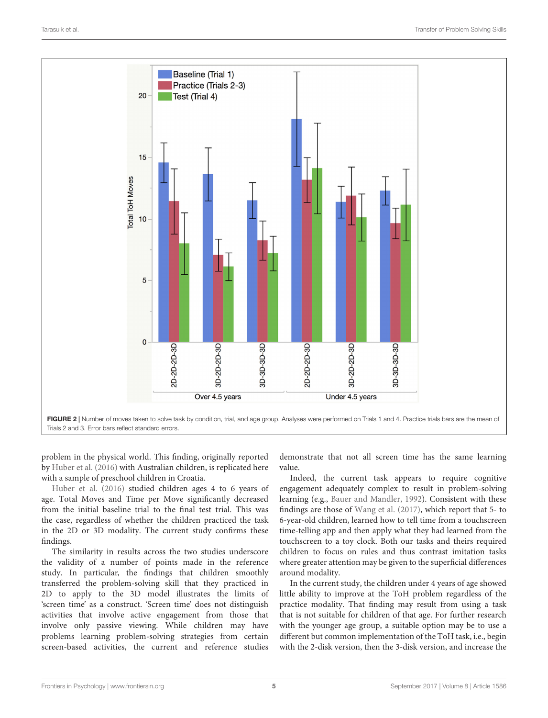

<span id="page-4-0"></span>problem in the physical world. This finding, originally reported by [Huber et al.](#page-5-0) [\(2016\)](#page-5-0) with Australian children, is replicated here with a sample of preschool children in Croatia.

[Huber et al.](#page-5-0) [\(2016\)](#page-5-0) studied children ages 4 to 6 years of age. Total Moves and Time per Move significantly decreased from the initial baseline trial to the final test trial. This was the case, regardless of whether the children practiced the task in the 2D or 3D modality. The current study confirms these findings.

The similarity in results across the two studies underscore the validity of a number of points made in the reference study. In particular, the findings that children smoothly transferred the problem-solving skill that they practiced in 2D to apply to the 3D model illustrates the limits of 'screen time' as a construct. 'Screen time' does not distinguish activities that involve active engagement from those that involve only passive viewing. While children may have problems learning problem-solving strategies from certain screen-based activities, the current and reference studies

demonstrate that not all screen time has the same learning value.

Indeed, the current task appears to require cognitive engagement adequately complex to result in problem-solving learning (e.g., [Bauer and Mandler,](#page-5-9) [1992\)](#page-5-9). Consistent with these findings are those of [Wang et al.](#page-5-14) [\(2017\)](#page-5-14), which report that 5- to 6-year-old children, learned how to tell time from a touchscreen time-telling app and then apply what they had learned from the touchscreen to a toy clock. Both our tasks and theirs required children to focus on rules and thus contrast imitation tasks where greater attention may be given to the superficial differences around modality.

In the current study, the children under 4 years of age showed little ability to improve at the ToH problem regardless of the practice modality. That finding may result from using a task that is not suitable for children of that age. For further research with the younger age group, a suitable option may be to use a different but common implementation of the ToH task, i.e., begin with the 2-disk version, then the 3-disk version, and increase the